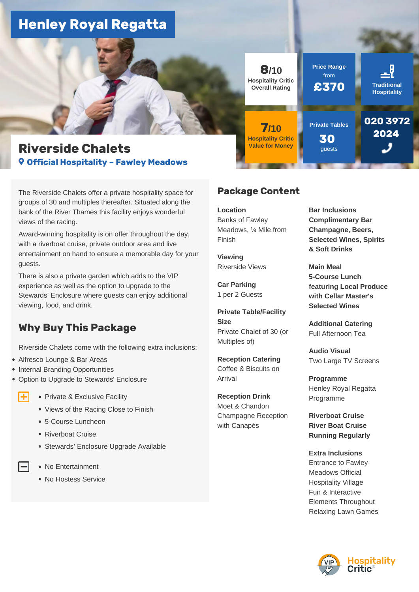# **Henley Royal Regatta**



The Riverside Chalets offer a private hospitality space for groups of 30 and multiples thereafter. Situated along the bank of the River Thames this facility enjoys wonderful views of the racing.

Award-winning hospitality is on offer throughout the day, with a riverboat cruise, private outdoor area and live entertainment on hand to ensure a memorable day for your guests.

There is also a private garden which adds to the VIP experience as well as the option to upgrade to the Stewards' Enclosure where guests can enjoy additional viewing, food, and drink.

# **Why Buy This Package**

Riverside Chalets come with the following extra inclusions:

Alfresco Lounge & Bar Areas

Œ

- Internal Branding Opportunities
- Option to Upgrade to Stewards' Enclosure
	- Private & Exclusive Facility
		- Views of the Racing Close to Finish
		- 5-Course Luncheon
		- Riverboat Cruise
		- Stewards' Enclosure Upgrade Available
		- No Entertainment
		- No Hostess Service



# **Package Content**

**Location**  Banks of Fawley Meadows, ¼ Mile from Finish

**Viewing**  Riverside Views

**Car Parking**  1 per 2 Guests

**Private Table/Facility Size**  Private Chalet of 30 (or Multiples of)

**Reception Catering**  Coffee & Biscuits on Arrival

**Reception Drink**  Moet & Chandon Champagne Reception with Canapés

**Bar Inclusions Complimentary Bar Champagne, Beers, Selected Wines, Spirits & Soft Drinks**

**Main Meal 5-Course Lunch featuring Local Produce with Cellar Master's Selected Wines**

**Additional Catering**  Full Afternoon Tea

**Audio Visual**  Two Large TV Screens

**Programme**  Henley Royal Regatta Programme

**Riverboat Cruise River Boat Cruise Running Regularly**

**Extra Inclusions**  Entrance to Fawley Meadows Official Hospitality Village Fun & Interactive Elements Throughout Relaxing Lawn Games

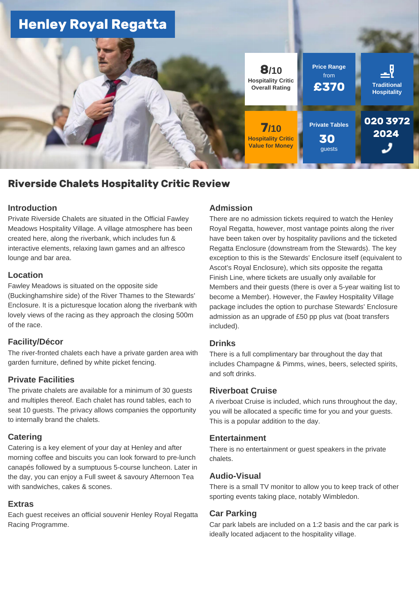

# **Riverside Chalets Hospitality Critic Review**

#### **Introduction**

Private Riverside Chalets are situated in the Official Fawley Meadows Hospitality Village. A village atmosphere has been created here, along the riverbank, which includes fun & interactive elements, relaxing lawn games and an alfresco lounge and bar area.

#### **Location**

Fawley Meadows is situated on the opposite side (Buckinghamshire side) of the River Thames to the Stewards' Enclosure. It is a picturesque location along the riverbank with lovely views of the racing as they approach the closing 500m of the race.

# **Facility/Décor**

The river-fronted chalets each have a private garden area with garden furniture, defined by white picket fencing.

# **Private Facilities**

The private chalets are available for a minimum of 30 guests and multiples thereof. Each chalet has round tables, each to seat 10 guests. The privacy allows companies the opportunity to internally brand the chalets.

# **Catering**

Catering is a key element of your day at Henley and after morning coffee and biscuits you can look forward to pre-lunch canapés followed by a sumptuous 5-course luncheon. Later in the day, you can enjoy a Full sweet & savoury Afternoon Tea with sandwiches, cakes & scones.

#### **Extras**

Each guest receives an official souvenir Henley Royal Regatta Racing Programme.

#### **Admission**

There are no admission tickets required to watch the Henley Royal Regatta, however, most vantage points along the river have been taken over by hospitality pavilions and the ticketed Regatta Enclosure (downstream from the Stewards). The key exception to this is the Stewards' Enclosure itself (equivalent to Ascot's Royal Enclosure), which sits opposite the regatta Finish Line, where tickets are usually only available for Members and their guests (there is over a 5-year waiting list to become a Member). However, the Fawley Hospitality Village package includes the option to purchase Stewards' Enclosure admission as an upgrade of £50 pp plus vat (boat transfers included).

# **Drinks**

There is a full complimentary bar throughout the day that includes Champagne & Pimms, wines, beers, selected spirits, and soft drinks.

# **Riverboat Cruise**

A riverboat Cruise is included, which runs throughout the day, you will be allocated a specific time for you and your guests. This is a popular addition to the day.

#### **Entertainment**

There is no entertainment or guest speakers in the private chalets.

# **Audio-Visual**

There is a small TV monitor to allow you to keep track of other sporting events taking place, notably Wimbledon.

#### **Car Parking**

Car park labels are included on a 1:2 basis and the car park is ideally located adjacent to the hospitality village.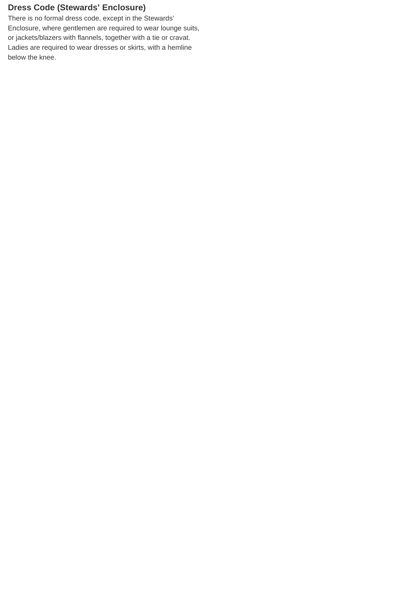# **Dress Code (Stewards' Enclosure)**

There is no formal dress code, except in the Stewards' Enclosure, where gentlemen are required to wear lounge suits, or jackets/blazers with flannels, together with a tie or cravat. Ladies are required to wear dresses or skirts, with a hemline below the knee.